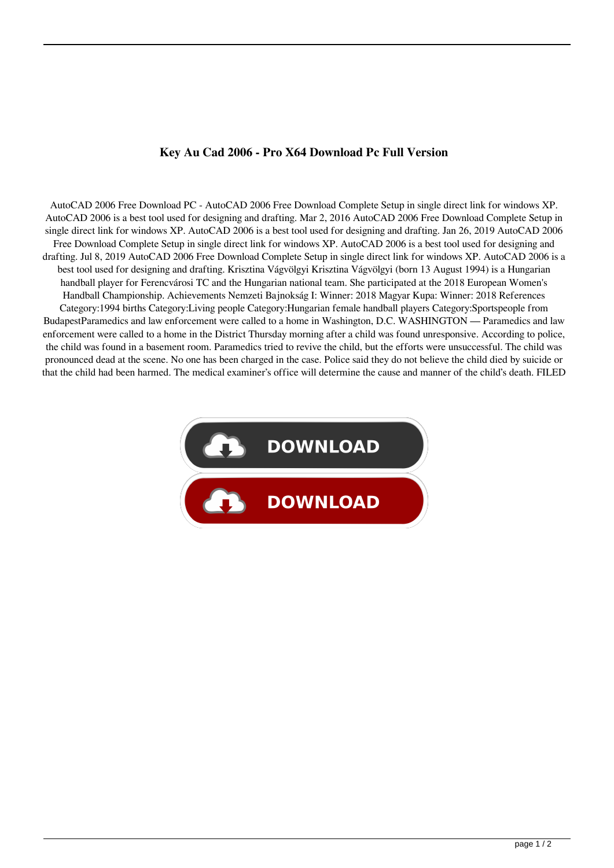## **Key Au Cad 2006 - Pro X64 Download Pc Full Version**

AutoCAD 2006 Free Download PC - AutoCAD 2006 Free Download Complete Setup in single direct link for windows XP. AutoCAD 2006 is a best tool used for designing and drafting. Mar 2, 2016 AutoCAD 2006 Free Download Complete Setup in single direct link for windows XP. AutoCAD 2006 is a best tool used for designing and drafting. Jan 26, 2019 AutoCAD 2006 Free Download Complete Setup in single direct link for windows XP. AutoCAD 2006 is a best tool used for designing and drafting. Jul 8, 2019 AutoCAD 2006 Free Download Complete Setup in single direct link for windows XP. AutoCAD 2006 is a best tool used for designing and drafting. Krisztina Vágvölgyi Krisztina Vágvölgyi (born 13 August 1994) is a Hungarian handball player for Ferencvárosi TC and the Hungarian national team. She participated at the 2018 European Women's Handball Championship. Achievements Nemzeti Bajnokság I: Winner: 2018 Magyar Kupa: Winner: 2018 References Category:1994 births Category:Living people Category:Hungarian female handball players Category:Sportspeople from BudapestParamedics and law enforcement were called to a home in Washington, D.C. WASHINGTON — Paramedics and law enforcement were called to a home in the District Thursday morning after a child was found unresponsive. According to police, the child was found in a basement room. Paramedics tried to revive the child, but the efforts were unsuccessful. The child was pronounced dead at the scene. No one has been charged in the case. Police said they do not believe the child died by suicide or that the child had been harmed. The medical examiner's office will determine the cause and manner of the child's death. FILED